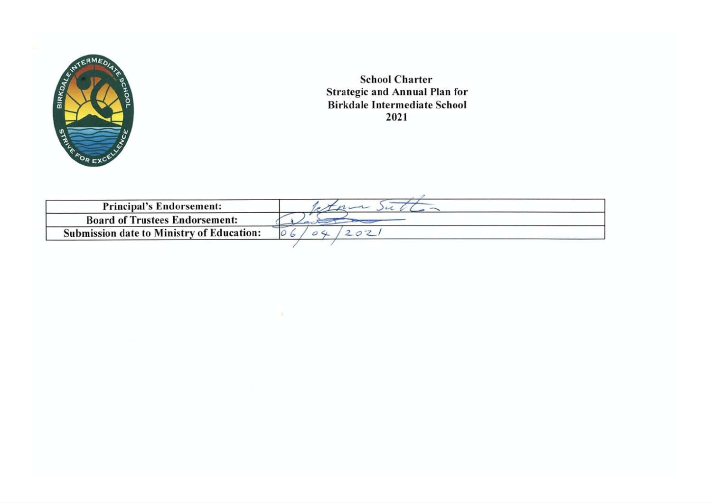

**School Charter Strategic and Annual Plan for Birkdale Intermediate School** 2021

| <b>Principal's Endorsement:</b>                  |  |  |
|--------------------------------------------------|--|--|
| <b>Board of Trustees Endorsement:</b>            |  |  |
| <b>Submission date to Ministry of Education:</b> |  |  |

 $\Lambda$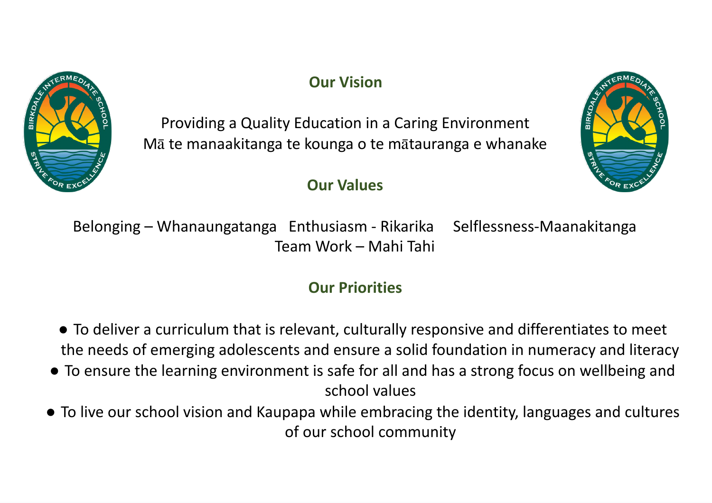

# **Our Vision**

Providing <sup>a</sup> Quality Education in <sup>a</sup> Caring Environment Mā te manaakitanga te kounga <sup>o</sup> te <sup>m</sup>ātauranga <sup>e</sup> whanake

## **Our Values**



Belonging – Whanaungatanga Enthusiasm - Rikarika Selflessness-Maanakitanga Team Work – Mahi Tahi

# **Our Priorities**

- To deliver <sup>a</sup> curriculum that is relevant, culturally responsive and differentiates to meet the needs of emerging adolescents and ensure <sup>a</sup> solid foundation in numeracy and literacy
- To ensure the learning environment is safe for all and has <sup>a</sup> strong focus on wellbeing and school values
- To live our school vision and Kaupapa while embracing the identity, languages and cultures of our school community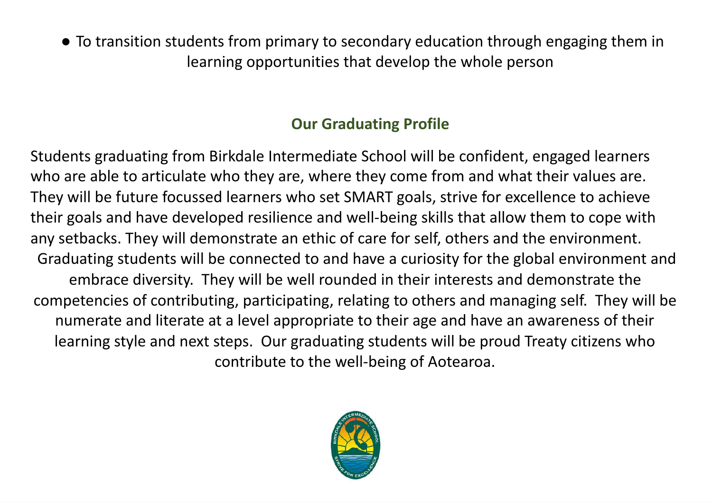● To transition students from primary to secondary education through engaging them in learning opportunities that develop the whole person

# **Our Graduating Profile**

Students graduating from Birkdale Intermediate School will be confident, engaged learners who are able to articulate who they are, where they come from and what their values are. They will be future focussed learners who set SMART goals, strive for excellence to achieve their goals and have developed resilience and well-being skills that allow them to cope with any setbacks. They will demonstrate an ethic of care for self, others and the environment. Graduating students will be connected to and have <sup>a</sup> curiosity for the global environment and embrace diversity. They will be well rounded in their interests and demonstrate the competencies of contributing, participating, relating to others and managing self. They will be numerate and literate at <sup>a</sup> level appropriate to their age and have an awareness of their learning style and next steps. Our graduating students will be proud Treaty citizens who contribute to the well-being of Aotearoa.

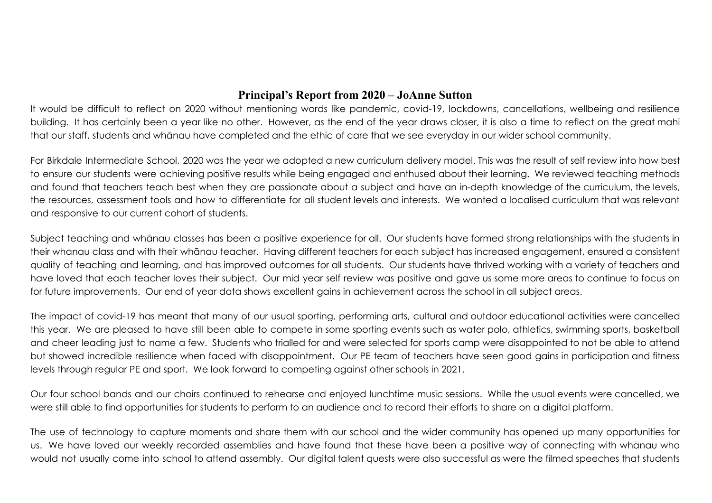## **Principal's Report from 2020 - JoAnne Sutton**

It would be difficult to reflect on 2020 without mentioning words like pandemic, covid-19, lockdowns, cancellations, wellbeing and resilience building. It has certainly been a year like no other. However, as the end of the year draws closer, it is also a time to reflect on the great mahi that our staff, students and whanau have completed and the ethic of care that we see everyday in our wider school community.

For Birkdale Intermediate School, 2020 was the year we adopted a new curriculum delivery model. This was the result of self review into how best to ensure our students were achieving positive results while being engaged and enthused about their learning. We reviewed teaching methods and found that teachers teach best when they are passionate about a subject and have an in-depth knowledge of the curriculum, the levels, the resources, assessment tools and how to differentiate for all student levels and interests. We wanted a localised curriculum that was relevant and responsive to our current cohort of students.

Subject teaching and whanau classes has been a positive experience for all. Our students have formed strong relationships with the students in their whanau class and with their whanau teacher. Having different teachers for each subject has increased engagement, ensured a consistent quality of teaching and learning, and has improved outcomes for all students. Our students have thrived working with a variety of teachers and have loved that each teacher loves their subject. Our mid year self review was positive and gave us some more areas to continue to focus on for future improvements. Our end of year data shows excellent gains in achievement across the school in all subject areas.

The impact of covid-19 has meant that many of our usual sporting, performing arts, cultural and outdoor educational activities were cancelled this year. We are pleased to have still been able to compete in some sporting events such as water polo, athletics, swimming sports, basketball and cheer leading just to name a few. Students who trialled for and were selected for sports camp were disappointed to not be able to attend but showed incredible resilience when faced with disappointment. Our PE team of teachers have seen good gains in participation and fitness levels through regular PE and sport. We look forward to competing against other schools in 2021.

Our four school bands and our choirs continued to rehearse and enjoyed lunchtime music sessions. While the usual events were cancelled, we were still able to find opportunities for students to perform to an audience and to record their efforts to share on a digital platform.

The use of technology to capture moments and share them with our school and the wider community has opened up many opportunities for us. We have loved our weekly recorded assemblies and have found that these have been a positive way of connecting with whanau who would not usually come into school to attend assembly. Our digital talent quests were also successful as were the filmed speeches that students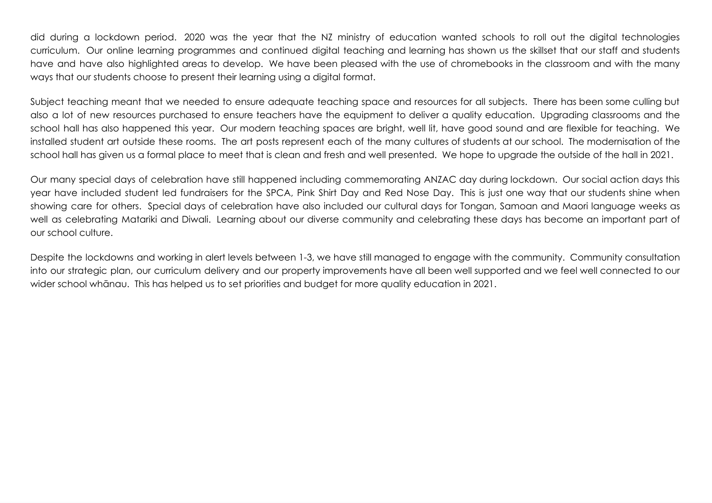did during a lockdown period. 2020 was the year that the NZ ministry of education wanted schools to roll out the digital technologies curriculum. Our online learning programmes and continued digital teaching and learning has shown us the skillset that our staff and students have and have also highlighted areas to develop. We have been pleased with the use of chromebooks in the classroom and with the many ways that our students choose to present their learning using a digital format.

Subject teaching meant that we needed to ensure adequate teaching space and resources for all subjects. There has been some culling but also a lot of new resources purchased to ensure teachers have the equipment to deliver a quality education. Upgrading classrooms and the school hall has also happened this year. Our modern teaching spaces are bright, well lit, have good sound and are flexible for teaching. We installed student art outside these rooms. The art posts represent each of the many cultures of students at our school. The modernisation of the school hall has given us a formal place to meet that is clean and fresh and well presented. We hope to upgrade the outside of the hall in 2021.

Our many special days of celebration have still happened including commemorating ANZAC day during lockdown. Our social action days this year have included student led fundraisers for the SPCA, Pink Shirt Day and Red Nose Day. This is just one way that our students shine when showing care for others. Special days of celebration have also included our cultural days for Tongan, Samoan and Maori language weeks as well as celebrating Matariki and Diwali. Learning about our diverse community and celebrating these days has become an important part of our school culture.

Despite the lockdowns and working in alert levels between 1-3, we have still managed to engage with the community. Community consultation into our strategic plan, our curriculum delivery and our property improvements have all been well supported and we feel well connected to our wider school whanau. This has helped us to set priorities and budget for more quality education in 2021.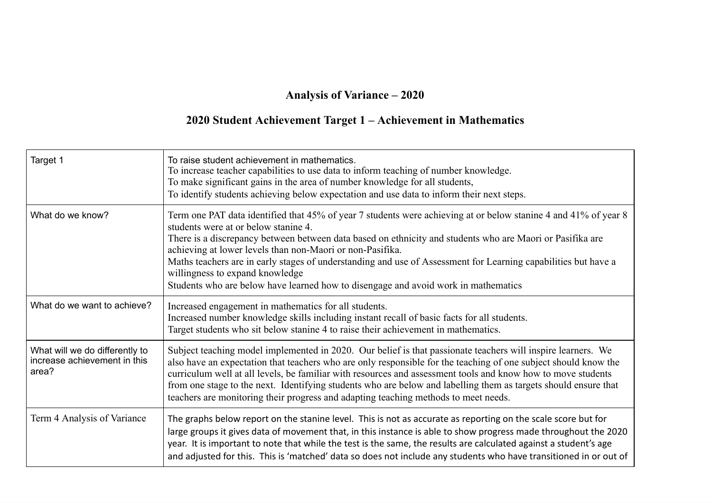## **Anal\sis of Variance <sup>±</sup> 2020**

### **2020 Student AchieYement Target 1 <sup>±</sup> AchieYement in Mathematics**

| Target 1                                                                | To raise student achievement in mathematics.<br>To increase teacher capabilities to use data to inform teaching of number knowledge.<br>To make significant gains in the area of number knowledge for all students,<br>To identify students achieving below expectation and use data to inform their next steps.                                                                                                                                                                                                                                                             |
|-------------------------------------------------------------------------|------------------------------------------------------------------------------------------------------------------------------------------------------------------------------------------------------------------------------------------------------------------------------------------------------------------------------------------------------------------------------------------------------------------------------------------------------------------------------------------------------------------------------------------------------------------------------|
| What do we know?                                                        | Term one PAT data identified that 45% of year 7 students were achieving at or below stanine 4 and 41% of year 8<br>students were at or below stanine 4.<br>There is a discrepancy between between data based on ethnicity and students who are Maori or Pasifika are<br>achieving at lower levels than non-Maori or non-Pasifika.<br>Maths teachers are in early stages of understanding and use of Assessment for Learning capabilities but have a<br>willingness to expand knowledge<br>Students who are below have learned how to disengage and avoid work in mathematics |
| What do we want to achieve?                                             | Increased engagement in mathematics for all students.<br>Increased number knowledge skills including instant recall of basic facts for all students.<br>Target students who sit below stanine 4 to raise their achievement in mathematics.                                                                                                                                                                                                                                                                                                                                   |
| What will we do differently to<br>increase achievement in this<br>area? | Subject teaching model implemented in 2020. Our belief is that passionate teachers will inspire learners. We<br>also have an expectation that teachers who are only responsible for the teaching of one subject should know the<br>curriculum well at all levels, be familiar with resources and assessment tools and know how to move students<br>from one stage to the next. Identifying students who are below and labelling them as targets should ensure that<br>teachers are monitoring their progress and adapting teaching methods to meet needs.                    |
| Term 4 Analysis of Variance                                             | The graphs below report on the stanine level. This is not as accurate as reporting on the scale score but for<br>large groups it gives data of movement that, in this instance is able to show progress made throughout the 2020<br>year. It is important to note that while the test is the same, the results are calculated against a student's age<br>and adjusted for this. This is 'matched' data so does not include any students who have transitioned in or out of                                                                                                   |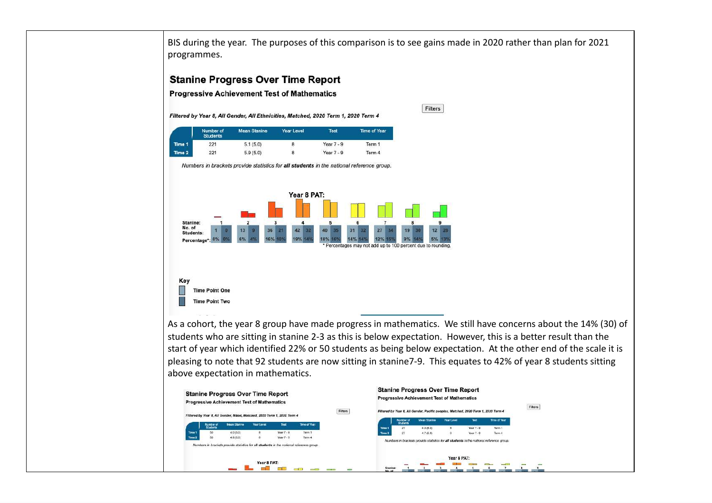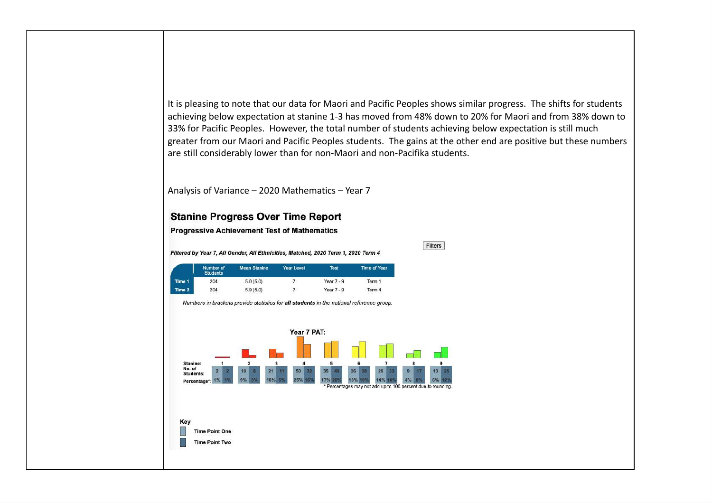It is pleasing to note that our data for Maori and Pacific Peoples shows similar progress. The shifts for students achieving below expectation at stanine 1-3 has moved from 48% down to 20% for Maori and from 38% down to 33% for Pacific Peoples. However, the total number of students achieving below expectation is still much greater from our Maori and Pacific Peoples students. The gains at the other end are positive but these numbers are still considerably lower than for non-Maori and non-Pacifika students.

Filters

Analysis of Variance –  $2020$  Mathematics – Year  $7$ 

#### **Stanine Progress Over Time Report**

#### **Progressive Achievement Test of Mathematics**

Filtered by Year 7, All Gender, All Ethnicities, Matched, 2020 Term 1, 2020 Term 4

|        | Number of<br><b>Students</b> | <b>Mean Stanine</b> | Year Level | <b>Test</b>  | Time of Year |
|--------|------------------------------|---------------------|------------|--------------|--------------|
| Time 1 | 204                          | 5.0(5.0)            |            | Year $7 - 9$ | Term 1       |
| Time 2 | 204                          | 5.9(5.0)            | 7          | Year $7 - 9$ | Term 4       |

Numbers in brackets provide statistics for all students in the national reference group.

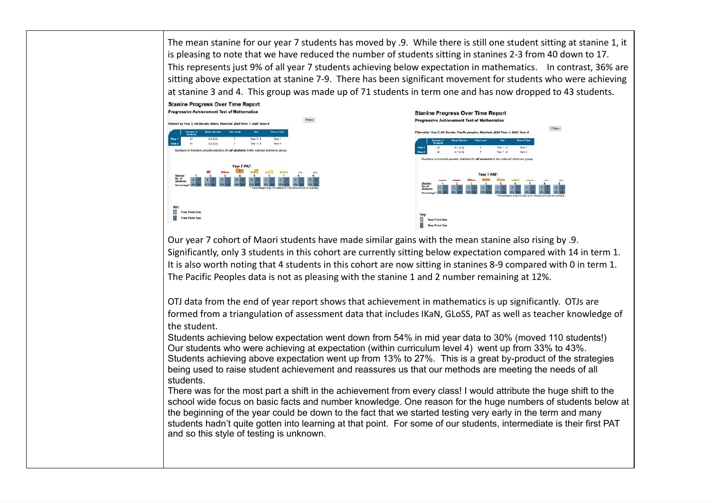The mean stanine for our year 7 students has moved by .9. While there is still one student sitting at stanine 1, it is pleasing to note that we have reduced the number of students sitting in stanines 2-3 from 40 down to 17. This represents just 9% of all year 7 students achieving below expectation in mathematics. In contrast, 36% are sitting above expectation at stanine 7-9. There has been significant movement for students who were achieving at stanine 3 and 4. This group was made up of 71 students in term one and has now dropped to 43 students.



Our year 7 cohort of Maori students have made similar gains with the mean stanine also rising by .9. Significantly, only 3 students in this cohort are currently sitting below expectation compared with 14 in term 1. It is also worth noting that 4 students in this cohort are now sitting in stanines 8-9 compared with 0 in term 1. The Pacific Peoples data is not as pleasing with the stanine 1 and 2 number remaining at 12%.

OTJ data from the end of year report shows that achievement in mathematics is up significantly. OTJs are formed from a triangulation of assessment data that includes IKaN, GLoSS, PAT as well as teacher knowledge of the student.

Students achieving below expectation went down from 54% in mid year data to 30% (moved 110 students!) Our students who were achieving at expectation (within curriculum level 4) went up from 33% to 43%. Students achieving above expectation went up from 13% to 27%. This is a great by-product of the strategies being used to raise student achievement and reassures us that our methods are meeting the needs of all students.

There was for the most part a shift in the achievement from every class! I would attribute the huge shift to the school wide focus on basic facts and number knowledge. One reason for the huge numbers of students below at the beginning of the year could be down to the fact that we started testing very early in the term and many students hadn't quite gotten into learning at that point. For some of our students, intermediate is their first PAT and so this style of testing is unknown.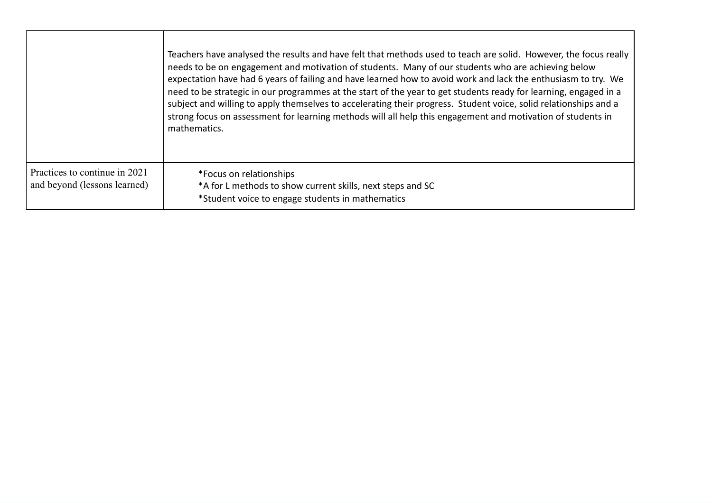|                                                               | Teachers have analysed the results and have felt that methods used to teach are solid. However, the focus really<br>needs to be on engagement and motivation of students. Many of our students who are achieving below<br>expectation have had 6 years of failing and have learned how to avoid work and lack the enthusiasm to try. We<br>need to be strategic in our programmes at the start of the year to get students ready for learning, engaged in a<br>subject and willing to apply themselves to accelerating their progress. Student voice, solid relationships and a<br>strong focus on assessment for learning methods will all help this engagement and motivation of students in<br>mathematics. |
|---------------------------------------------------------------|----------------------------------------------------------------------------------------------------------------------------------------------------------------------------------------------------------------------------------------------------------------------------------------------------------------------------------------------------------------------------------------------------------------------------------------------------------------------------------------------------------------------------------------------------------------------------------------------------------------------------------------------------------------------------------------------------------------|
| Practices to continue in 2021<br>and beyond (lessons learned) | *Focus on relationships<br>*A for L methods to show current skills, next steps and SC<br>*Student voice to engage students in mathematics                                                                                                                                                                                                                                                                                                                                                                                                                                                                                                                                                                      |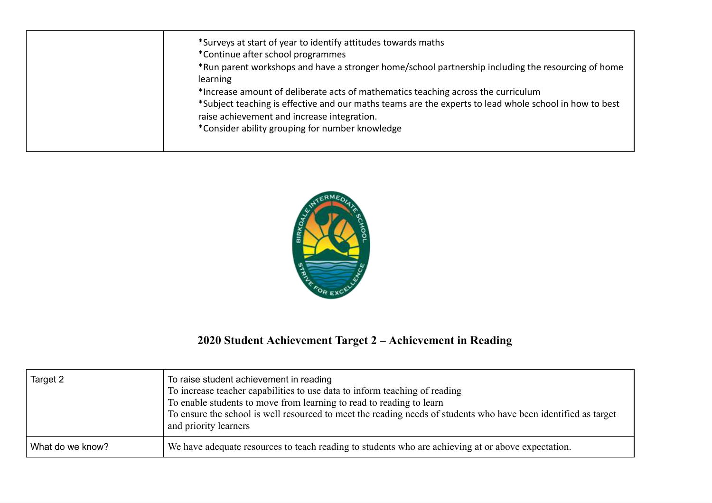| *Surveys at start of year to identify attitudes towards maths<br>*Continue after school programmes<br>*Run parent workshops and have a stronger home/school partnership including the resourcing of home |
|----------------------------------------------------------------------------------------------------------------------------------------------------------------------------------------------------------|
| learning<br>*Increase amount of deliberate acts of mathematics teaching across the curriculum<br>*Subject teaching is effective and our maths teams are the experts to lead whole school in how to best  |
| raise achievement and increase integration.<br>*Consider ability grouping for number knowledge                                                                                                           |



## **2020 Student AchieYement Target 2 <sup>±</sup> AchieYement in Reading**

| Target 2         | To raise student achievement in reading<br>To increase teacher capabilities to use data to inform teaching of reading<br>To enable students to move from learning to read to reading to learn<br>To ensure the school is well resourced to meet the reading needs of students who have been identified as target<br>and priority learners |
|------------------|-------------------------------------------------------------------------------------------------------------------------------------------------------------------------------------------------------------------------------------------------------------------------------------------------------------------------------------------|
| What do we know? | We have adequate resources to teach reading to students who are achieving at or above expectation.                                                                                                                                                                                                                                        |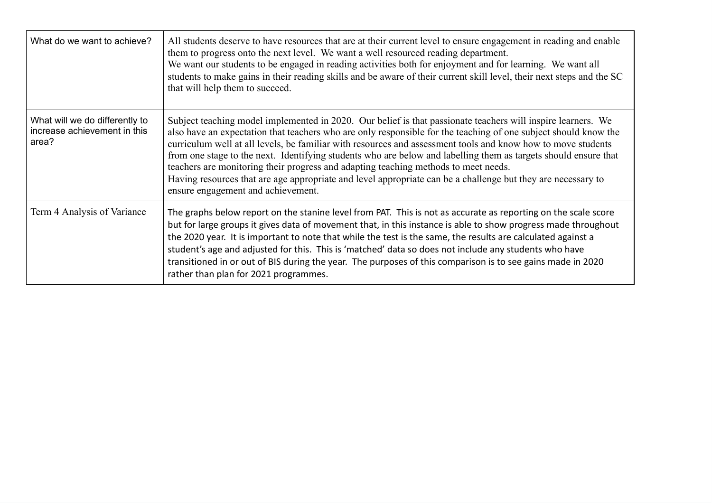| What do we want to achieve?                                             | All students deserve to have resources that are at their current level to ensure engagement in reading and enable<br>them to progress onto the next level. We want a well resourced reading department.<br>We want our students to be engaged in reading activities both for enjoyment and for learning. We want all<br>students to make gains in their reading skills and be aware of their current skill level, their next steps and the SC<br>that will help them to succeed.                                                                                                                                                                                                                                |
|-------------------------------------------------------------------------|-----------------------------------------------------------------------------------------------------------------------------------------------------------------------------------------------------------------------------------------------------------------------------------------------------------------------------------------------------------------------------------------------------------------------------------------------------------------------------------------------------------------------------------------------------------------------------------------------------------------------------------------------------------------------------------------------------------------|
| What will we do differently to<br>increase achievement in this<br>area? | Subject teaching model implemented in 2020. Our belief is that passionate teachers will inspire learners. We<br>also have an expectation that teachers who are only responsible for the teaching of one subject should know the<br>curriculum well at all levels, be familiar with resources and assessment tools and know how to move students<br>from one stage to the next. Identifying students who are below and labelling them as targets should ensure that<br>teachers are monitoring their progress and adapting teaching methods to meet needs.<br>Having resources that are age appropriate and level appropriate can be a challenge but they are necessary to<br>ensure engagement and achievement. |
| Term 4 Analysis of Variance                                             | The graphs below report on the stanine level from PAT. This is not as accurate as reporting on the scale score<br>but for large groups it gives data of movement that, in this instance is able to show progress made throughout<br>the 2020 year. It is important to note that while the test is the same, the results are calculated against a<br>student's age and adjusted for this. This is 'matched' data so does not include any students who have<br>transitioned in or out of BIS during the year. The purposes of this comparison is to see gains made in 2020<br>rather than plan for 2021 programmes.                                                                                               |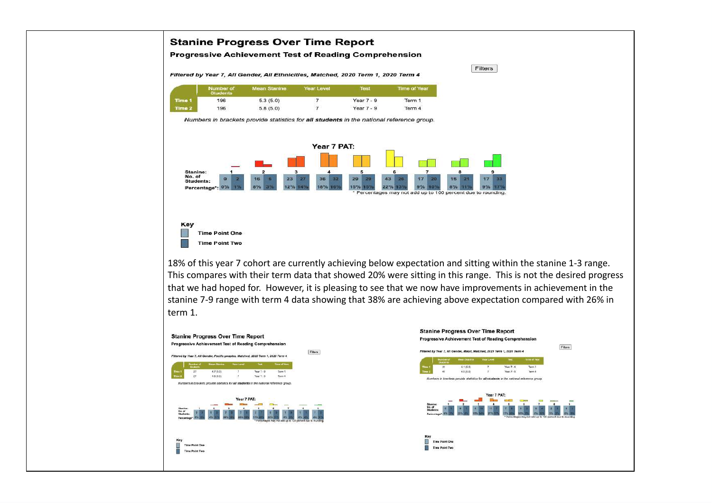

This compares with their term data that showed 20% were sitting in this range. This is not the desired progress that we had hoped for. However, it is pleasing to see that we now have improvements in achievement in the stanine 7-9 range with term 4 data showing that 38% are achieving above expectation compared with 26% in term 1.

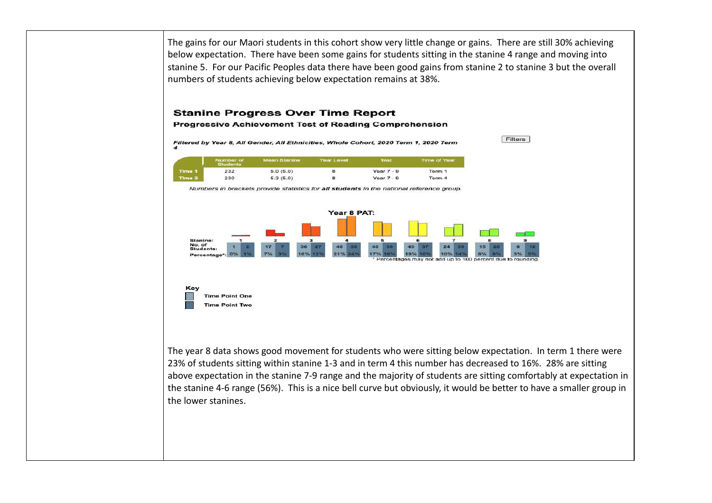The gains for our Maori students in this cohort show very little change or gains. There are still 30% achieving below expectation. There have been some gains for students sitting in the stanine 4 range and moving into stanine 5. For our Pacific Peoples data there have been good gains from stanine 2 to stanine 3 but the overall numbers of students achieving below expectation remains at 38%.

#### **Stanine Progress Over Time Report**

**Progressive Achievement Test of Reading Comprehension** 

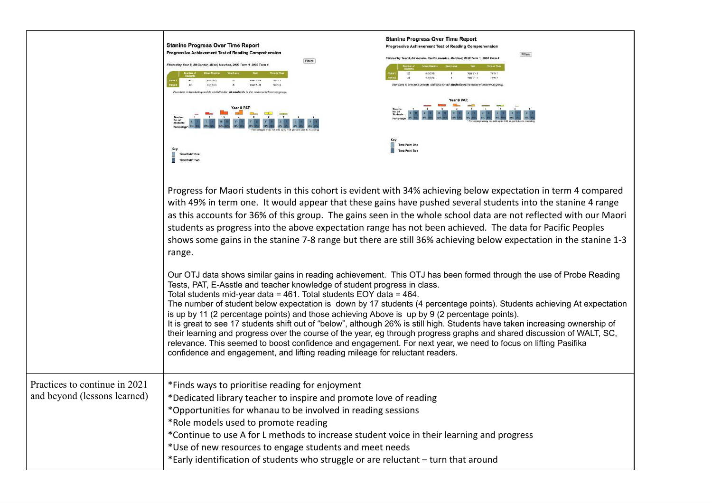|                                                               | <b>Stanine Progress Over Time Report</b><br>Progressive Achievement Test of Reading Comprehension<br>Fitters<br>ar 8. All Gender, Migri, Matched, 2020 Term 1, 2020 Term.<br>4.2(5.0)<br>Yax7.9<br>Year 8 PAT:<br>Time Point One<br>Time Point Two                                                                                                                                                                                                                         | <b>Stanine Progress Over Time Report</b><br>Progressive Achievement Test of Reading Comprehensio<br>Fiters<br>4.5.03.03<br>Nor 7 -<br>Numbers in brackets provide statistics for all students in the national reference of<br><b>Time Point One</b>                                                                                                                                                                                                                                                                                                                                |
|---------------------------------------------------------------|----------------------------------------------------------------------------------------------------------------------------------------------------------------------------------------------------------------------------------------------------------------------------------------------------------------------------------------------------------------------------------------------------------------------------------------------------------------------------|------------------------------------------------------------------------------------------------------------------------------------------------------------------------------------------------------------------------------------------------------------------------------------------------------------------------------------------------------------------------------------------------------------------------------------------------------------------------------------------------------------------------------------------------------------------------------------|
|                                                               | range.                                                                                                                                                                                                                                                                                                                                                                                                                                                                     | Progress for Maori students in this cohort is evident with 34% achieving below expectation in term 4 compared<br>with 49% in term one. It would appear that these gains have pushed several students into the stanine 4 range<br>as this accounts for 36% of this group. The gains seen in the whole school data are not reflected with our Maori<br>students as progress into the above expectation range has not been achieved. The data for Pacific Peoples<br>shows some gains in the stanine 7-8 range but there are still 36% achieving below expectation in the stanine 1-3 |
|                                                               | Tests, PAT, E-Asstle and teacher knowledge of student progress in class.<br>Total students mid-year data = 461. Total students EOY data = 464.<br>is up by 11 (2 percentage points) and those achieving Above is up by 9 (2 percentage points).<br>relevance. This seemed to boost confidence and engagement. For next year, we need to focus on lifting Pasifika<br>confidence and engagement, and lifting reading mileage for reluctant readers.                         | Our OTJ data shows similar gains in reading achievement. This OTJ has been formed through the use of Probe Reading<br>The number of student below expectation is down by 17 students (4 percentage points). Students achieving At expectation<br>It is great to see 17 students shift out of "below", although 26% is still high. Students have taken increasing ownership of<br>their learning and progress over the course of the year, eg through progress graphs and shared discussion of WALT, SC,                                                                            |
| Practices to continue in 2021<br>and beyond (lessons learned) | *Finds ways to prioritise reading for enjoyment<br>*Dedicated library teacher to inspire and promote love of reading<br>*Opportunities for whanau to be involved in reading sessions<br>*Role models used to promote reading<br>*Continue to use A for L methods to increase student voice in their learning and progress<br>*Use of new resources to engage students and meet needs<br>*Early identification of students who struggle or are reluctant - turn that around |                                                                                                                                                                                                                                                                                                                                                                                                                                                                                                                                                                                    |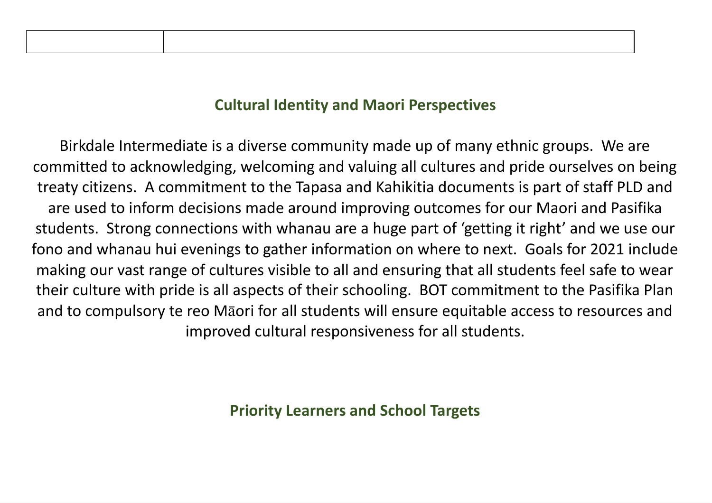## **Cultural Identits and Maori Perspectipes**

Birkdale Intermediate is <sup>a</sup> diverse community made up of many ethnic groups. We are committed to acknowledging, welcoming and valuing all cultures and pride ourselves on being treaty citizens. A commitment to the Tapasa and Kahikitia documents is part of staff PLD and are used to inform decisions made around improving outcomes for our Maori and Pasifika students. Strong connections with whanau are <sup>a</sup> huge part of 'getting it right' and we use our fono and whanau hui evenings to gather information on where to next. Goals for 2021 include making our vast range of cultures visible to all and ensuring that all students feel safe to wear their culture with pride is all aspects of their schooling. BOT commitment to the Pasifika Plan and to compulsory te reo Māori for all students will ensure equitable access to resources and improved cultural responsiveness for all students.

**Priorits Learners and School Targets**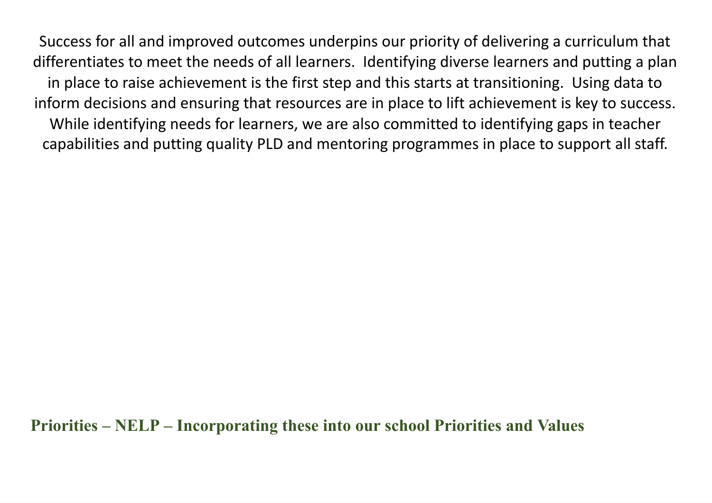Success for all and improved outcomes underpins our priority of delivering <sup>a</sup> curriculum that differentiates to meet the needs of all learners. Identifying diverse learners and putting <sup>a</sup> plan in place to raise achievement is the first step and this starts at transitioning. Using data to inform decisions and ensuring that resources are in place to lift achievement is key to success. While identifying needs for learners, we are also committed to identifying gaps in teacher capabilities and putting quality PLD and mentoring programmes in place to support all staff.

**Priorities <sup>±</sup> NELP <sup>±</sup> Incorporating these into our school Priorities and Values**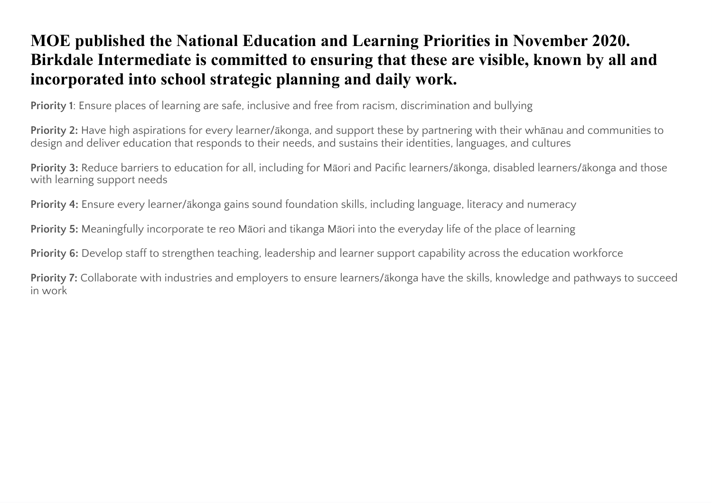# MOE published the National Education and Learning Priorities in November 2020. Birkdale Intermediate is committed to ensuring that these are visible, known by all and incorporated into school strategic planning and daily work.

**Priority 1:** Ensure places of learning are safe, inclusive and free from racism, discrimination and bullying

Priority 2: Have high aspirations for every learner/akonga, and support these by partnering with their whanau and communities to design and deliver education that responds to their needs, and sustains their identities, languages, and cultures

Priority 3: Reduce barriers to education for all, including for Māori and Pacific learners/ākonga, disabled learners/ākonga and those with learning support needs

Priority 4: Ensure every learner/akonga gains sound foundation skills, including language, literacy and numeracy

Priority 5: Meaningfully incorporate te reo Māori and tikanga Māori into the everyday life of the place of learning

Priority 6: Develop staff to strengthen teaching, leadership and learner support capability across the education workforce

Priority 7: Collaborate with industries and employers to ensure learners/akonga have the skills, knowledge and pathways to succeed in work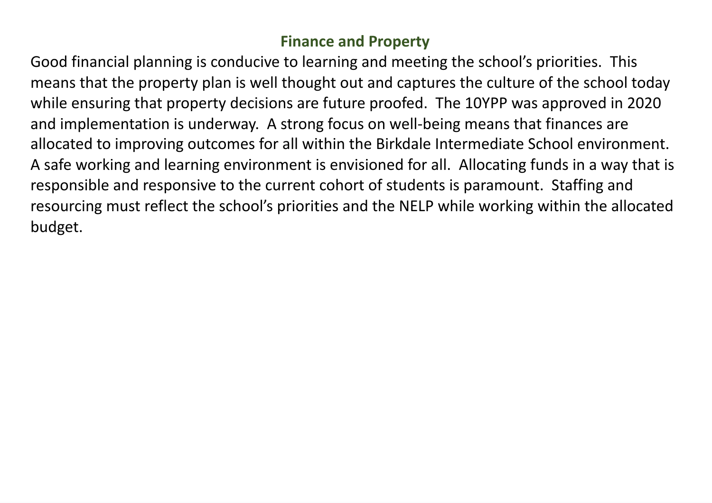## **Finance and Properts**

Good financial planning is conducive to learning and meeting the school's priorities. This means that the property plan is well thought out and captures the culture of the school today while ensuring that property decisions are future proofed. The 10YPP was approved in 2020 and implementation is underway. A strong focus on well-being means that finances are allocated to improving outcomes for all within the Birkdale Intermediate School environment. A safe working and learning environment is envisioned for all. Allocating funds in <sup>a</sup> way that is responsible and responsive to the current cohort of students is paramount. Staffing and resourcing must reflect the school's priorities and the NELP while working within the allocated budget.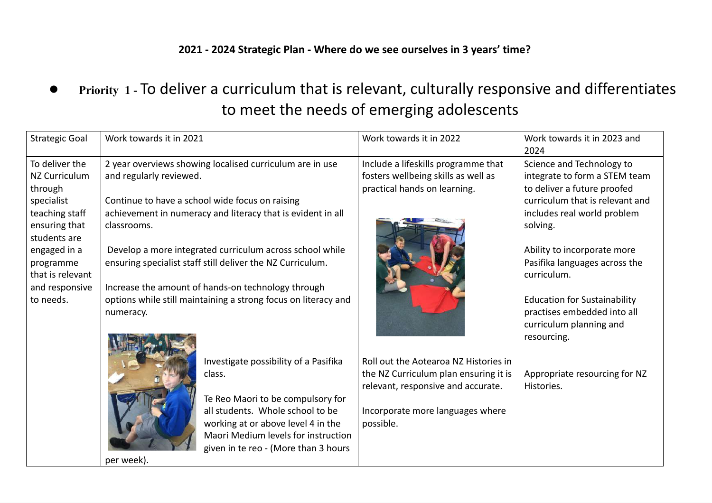## **ÃÁÃÂ ÃÁÃÅ Strategic Plan Where do qe see ourselpes in Ä sears time**

●Priority 1 - To deliver a curriculum that is relevant, culturally responsive and differentiates to meet the needs of emerging adolescents

| <b>Strategic Goal</b> | Work towards it in 2021 |                                                                | Work towards it in 2022               | Work towards it in 2023 and<br>2024 |
|-----------------------|-------------------------|----------------------------------------------------------------|---------------------------------------|-------------------------------------|
| To deliver the        |                         | 2 year overviews showing localised curriculum are in use       | Include a lifeskills programme that   | Science and Technology to           |
| <b>NZ Curriculum</b>  | and regularly reviewed. |                                                                | fosters wellbeing skills as well as   | integrate to form a STEM team       |
| through               |                         |                                                                | practical hands on learning.          | to deliver a future proofed         |
| specialist            |                         | Continue to have a school wide focus on raising                |                                       | curriculum that is relevant and     |
| teaching staff        |                         | achievement in numeracy and literacy that is evident in all    |                                       | includes real world problem         |
| ensuring that         | classrooms.             |                                                                |                                       | solving.                            |
| students are          |                         |                                                                |                                       |                                     |
| engaged in a          |                         | Develop a more integrated curriculum across school while       |                                       | Ability to incorporate more         |
| programme             |                         | ensuring specialist staff still deliver the NZ Curriculum.     |                                       | Pasifika languages across the       |
| that is relevant      |                         |                                                                |                                       | curriculum.                         |
| and responsive        |                         | Increase the amount of hands-on technology through             |                                       |                                     |
| to needs.             |                         | options while still maintaining a strong focus on literacy and |                                       | <b>Education for Sustainability</b> |
|                       | numeracy.               |                                                                |                                       | practises embedded into all         |
|                       |                         |                                                                |                                       | curriculum planning and             |
|                       |                         |                                                                |                                       | resourcing.                         |
|                       |                         | Investigate possibility of a Pasifika                          | Roll out the Aotearoa NZ Histories in |                                     |
|                       |                         | class.                                                         | the NZ Curriculum plan ensuring it is | Appropriate resourcing for NZ       |
|                       |                         |                                                                | relevant, responsive and accurate.    | Histories.                          |
|                       |                         | Te Reo Maori to be compulsory for                              |                                       |                                     |
|                       |                         | all students. Whole school to be                               | Incorporate more languages where      |                                     |
|                       |                         | working at or above level 4 in the                             | possible.                             |                                     |
|                       |                         | Maori Medium levels for instruction                            |                                       |                                     |
|                       |                         | given in te reo - (More than 3 hours                           |                                       |                                     |
|                       | per week).              |                                                                |                                       |                                     |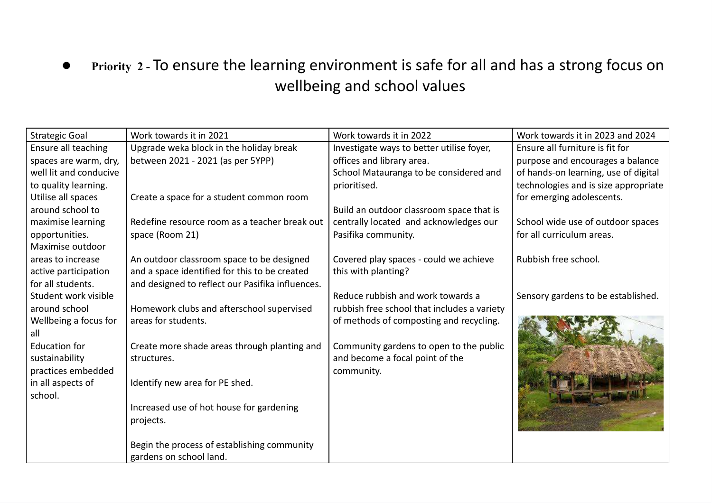## ●Priority 2 - To ensure the learning environment is safe for all and has a strong focus on wellbeing and school values

| <b>Strategic Goal</b>  | Work towards it in 2021                          | Work towards it in 2022                     | Work towards it in 2023 and 2024     |
|------------------------|--------------------------------------------------|---------------------------------------------|--------------------------------------|
| Ensure all teaching    | Upgrade weka block in the holiday break          | Investigate ways to better utilise foyer,   | Ensure all furniture is fit for      |
| spaces are warm, dry,  | between 2021 - 2021 (as per 5YPP)                | offices and library area.                   | purpose and encourages a balance     |
| well lit and conducive |                                                  | School Matauranga to be considered and      | of hands-on learning, use of digital |
| to quality learning.   |                                                  | prioritised.                                | technologies and is size appropriate |
| Utilise all spaces     | Create a space for a student common room         |                                             | for emerging adolescents.            |
| around school to       |                                                  | Build an outdoor classroom space that is    |                                      |
| maximise learning      | Redefine resource room as a teacher break out    | centrally located and acknowledges our      | School wide use of outdoor spaces    |
| opportunities.         | space (Room 21)                                  | Pasifika community.                         | for all curriculum areas.            |
| Maximise outdoor       |                                                  |                                             |                                      |
| areas to increase      | An outdoor classroom space to be designed        | Covered play spaces - could we achieve      | Rubbish free school.                 |
| active participation   | and a space identified for this to be created    | this with planting?                         |                                      |
| for all students.      | and designed to reflect our Pasifika influences. |                                             |                                      |
| Student work visible   |                                                  | Reduce rubbish and work towards a           | Sensory gardens to be established.   |
| around school          | Homework clubs and afterschool supervised        | rubbish free school that includes a variety |                                      |
| Wellbeing a focus for  | areas for students.                              | of methods of composting and recycling.     |                                      |
| all                    |                                                  |                                             |                                      |
| <b>Education for</b>   | Create more shade areas through planting and     | Community gardens to open to the public     |                                      |
| sustainability         | structures.                                      | and become a focal point of the             |                                      |
| practices embedded     |                                                  | community.                                  |                                      |
| in all aspects of      | Identify new area for PE shed.                   |                                             |                                      |
| school.                |                                                  |                                             |                                      |
|                        | Increased use of hot house for gardening         |                                             |                                      |
|                        | projects.                                        |                                             |                                      |
|                        |                                                  |                                             |                                      |
|                        | Begin the process of establishing community      |                                             |                                      |
|                        | gardens on school land.                          |                                             |                                      |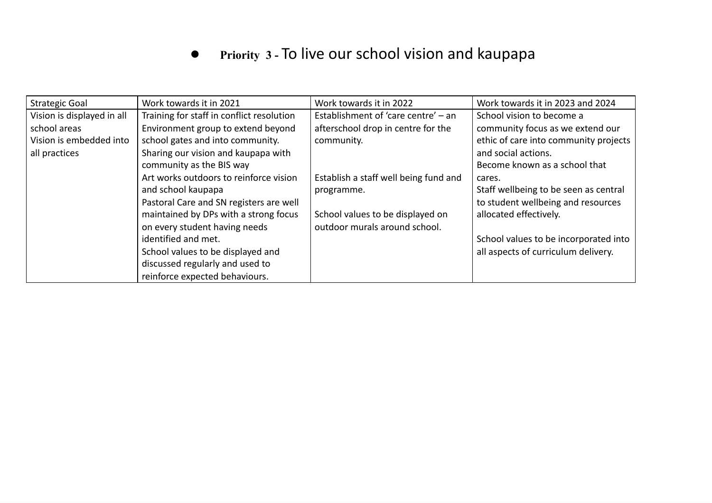#### $\bullet$ **Priorit\ <sup>3</sup> -** To live our school vision and kaupapa

| <b>Strategic Goal</b>      | Work towards it in 2021                   | Work towards it in 2022               | Work towards it in 2023 and 2024      |
|----------------------------|-------------------------------------------|---------------------------------------|---------------------------------------|
| Vision is displayed in all | Training for staff in conflict resolution | Establishment of 'care centre' - an   | School vision to become a             |
| school areas               | Environment group to extend beyond        | afterschool drop in centre for the    | community focus as we extend our      |
| Vision is embedded into    | school gates and into community.          | community.                            | ethic of care into community projects |
| all practices              | Sharing our vision and kaupapa with       |                                       | and social actions.                   |
|                            | community as the BIS way                  |                                       | Become known as a school that         |
|                            | Art works outdoors to reinforce vision    | Establish a staff well being fund and | cares.                                |
|                            | and school kaupapa                        | programme.                            | Staff wellbeing to be seen as central |
|                            | Pastoral Care and SN registers are well   |                                       | to student wellbeing and resources    |
|                            | maintained by DPs with a strong focus     | School values to be displayed on      | allocated effectively.                |
|                            | on every student having needs             | outdoor murals around school.         |                                       |
|                            | identified and met.                       |                                       | School values to be incorporated into |
|                            | School values to be displayed and         |                                       | all aspects of curriculum delivery.   |
|                            | discussed regularly and used to           |                                       |                                       |
|                            | reinforce expected behaviours.            |                                       |                                       |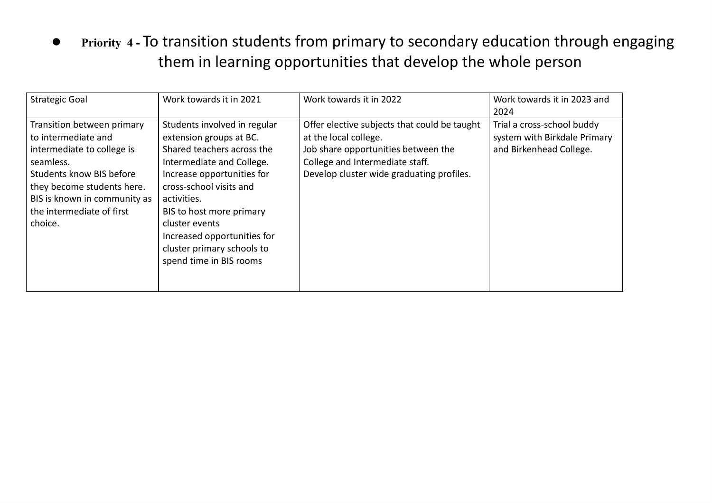●Priority 4 - To transition students from primary to secondary education through engaging them in learning opportunities that develop the whole person

| <b>Strategic Goal</b>                                                                                                                                                                                                                 | Work towards it in 2021                                                                                                                                                                                                                                                                                                          | Work towards it in 2022                                                                                                                                                                      | Work towards it in 2023 and<br>2024                                                   |
|---------------------------------------------------------------------------------------------------------------------------------------------------------------------------------------------------------------------------------------|----------------------------------------------------------------------------------------------------------------------------------------------------------------------------------------------------------------------------------------------------------------------------------------------------------------------------------|----------------------------------------------------------------------------------------------------------------------------------------------------------------------------------------------|---------------------------------------------------------------------------------------|
| Transition between primary<br>to intermediate and<br>intermediate to college is<br>seamless.<br><b>Students know BIS before</b><br>they become students here.<br>BIS is known in community as<br>the intermediate of first<br>choice. | Students involved in regular<br>extension groups at BC.<br>Shared teachers across the<br>Intermediate and College.<br>Increase opportunities for<br>cross-school visits and<br>activities.<br>BIS to host more primary<br>cluster events<br>Increased opportunities for<br>cluster primary schools to<br>spend time in BIS rooms | Offer elective subjects that could be taught<br>at the local college.<br>Job share opportunities between the<br>College and Intermediate staff.<br>Develop cluster wide graduating profiles. | Trial a cross-school buddy<br>system with Birkdale Primary<br>and Birkenhead College. |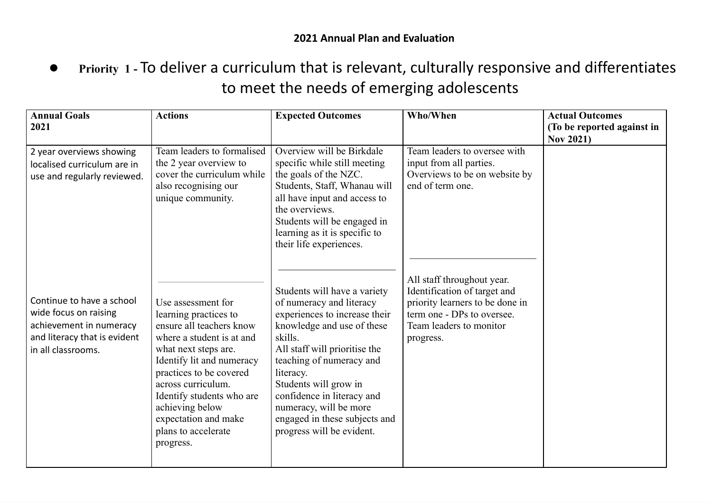●Priority 1 - To deliver a curriculum that is relevant, culturally responsive and differentiates to meet the needs of emerging adolescents

| <b>Annual Goals</b><br>2021                                                                                                         | <b>Actions</b>                                                                                                                                                                                                                                                                                                         | <b>Expected Outcomes</b>                                                                                                                                                                                                                                                                                                                                    | Who/When                                                                                                                                                            | <b>Actual Outcomes</b><br>(To be reported against in<br><b>Nov 2021)</b> |
|-------------------------------------------------------------------------------------------------------------------------------------|------------------------------------------------------------------------------------------------------------------------------------------------------------------------------------------------------------------------------------------------------------------------------------------------------------------------|-------------------------------------------------------------------------------------------------------------------------------------------------------------------------------------------------------------------------------------------------------------------------------------------------------------------------------------------------------------|---------------------------------------------------------------------------------------------------------------------------------------------------------------------|--------------------------------------------------------------------------|
| 2 year overviews showing<br>localised curriculum are in<br>use and regularly reviewed.                                              | Team leaders to formalised<br>the 2 year overview to<br>cover the curriculum while<br>also recognising our<br>unique community.                                                                                                                                                                                        | Overview will be Birkdale<br>specific while still meeting<br>the goals of the NZC.<br>Students, Staff, Whanau will<br>all have input and access to<br>the overviews.<br>Students will be engaged in<br>learning as it is specific to<br>their life experiences.                                                                                             | Team leaders to oversee with<br>input from all parties.<br>Overviews to be on website by<br>end of term one.                                                        |                                                                          |
| Continue to have a school<br>wide focus on raising<br>achievement in numeracy<br>and literacy that is evident<br>in all classrooms. | Use assessment for<br>learning practices to<br>ensure all teachers know<br>where a student is at and<br>what next steps are.<br>Identify lit and numeracy<br>practices to be covered<br>across curriculum.<br>Identify students who are<br>achieving below<br>expectation and make<br>plans to accelerate<br>progress. | Students will have a variety<br>of numeracy and literacy<br>experiences to increase their<br>knowledge and use of these<br>skills.<br>All staff will prioritise the<br>teaching of numeracy and<br>literacy.<br>Students will grow in<br>confidence in literacy and<br>numeracy, will be more<br>engaged in these subjects and<br>progress will be evident. | All staff throughout year.<br>Identification of target and<br>priority learners to be done in<br>term one - DPs to oversee.<br>Team leaders to monitor<br>progress. |                                                                          |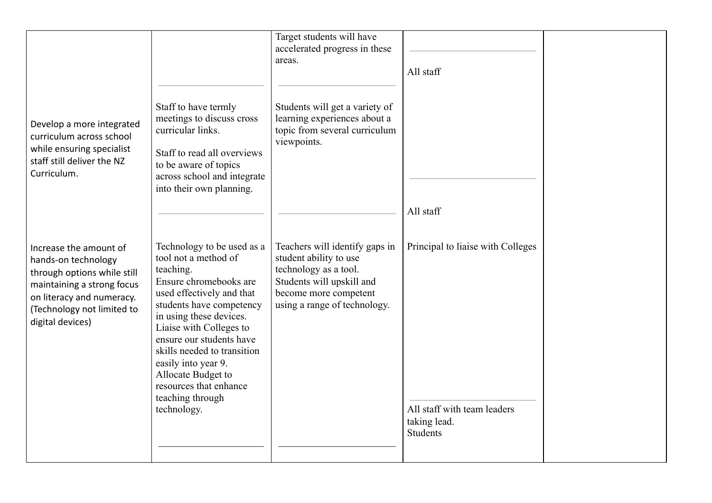|                                                                                                                                                                                           |                                                                                                                                                                                                                                                                                                                                                                               | Target students will have<br>accelerated progress in these<br>areas.                                                                                                    | All staff                                                                                           |  |
|-------------------------------------------------------------------------------------------------------------------------------------------------------------------------------------------|-------------------------------------------------------------------------------------------------------------------------------------------------------------------------------------------------------------------------------------------------------------------------------------------------------------------------------------------------------------------------------|-------------------------------------------------------------------------------------------------------------------------------------------------------------------------|-----------------------------------------------------------------------------------------------------|--|
| Develop a more integrated<br>curriculum across school<br>while ensuring specialist<br>staff still deliver the NZ<br>Curriculum.                                                           | Staff to have termly<br>meetings to discuss cross<br>curricular links.<br>Staff to read all overviews<br>to be aware of topics<br>across school and integrate<br>into their own planning.                                                                                                                                                                                     | Students will get a variety of<br>learning experiences about a<br>topic from several curriculum<br>viewpoints.                                                          |                                                                                                     |  |
|                                                                                                                                                                                           |                                                                                                                                                                                                                                                                                                                                                                               |                                                                                                                                                                         | All staff                                                                                           |  |
| Increase the amount of<br>hands-on technology<br>through options while still<br>maintaining a strong focus<br>on literacy and numeracy.<br>(Technology not limited to<br>digital devices) | Technology to be used as a<br>tool not a method of<br>teaching.<br>Ensure chromebooks are<br>used effectively and that<br>students have competency<br>in using these devices.<br>Liaise with Colleges to<br>ensure our students have<br>skills needed to transition<br>easily into year 9.<br>Allocate Budget to<br>resources that enhance<br>teaching through<br>technology. | Teachers will identify gaps in<br>student ability to use<br>technology as a tool.<br>Students will upskill and<br>become more competent<br>using a range of technology. | Principal to liaise with Colleges<br>All staff with team leaders<br>taking lead.<br><b>Students</b> |  |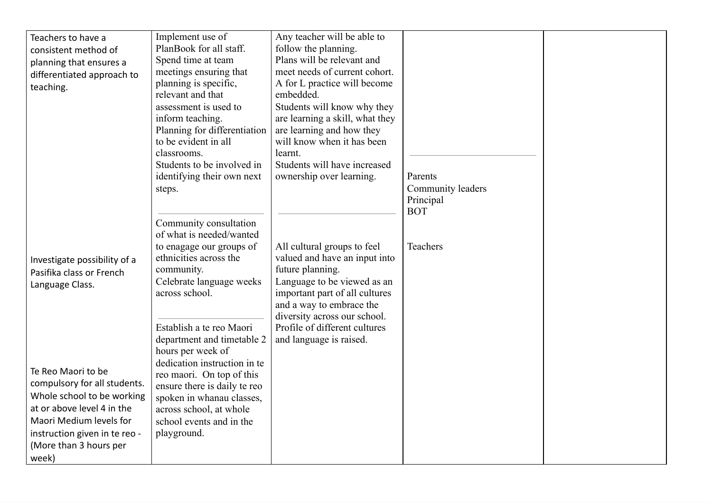| Teachers to have a            | Implement use of                                     | Any teacher will be able to     |                   |  |
|-------------------------------|------------------------------------------------------|---------------------------------|-------------------|--|
| consistent method of          | PlanBook for all staff.                              | follow the planning.            |                   |  |
| planning that ensures a       | Spend time at team                                   | Plans will be relevant and      |                   |  |
| differentiated approach to    | meetings ensuring that                               | meet needs of current cohort.   |                   |  |
| teaching.                     | planning is specific,                                | A for L practice will become    |                   |  |
|                               | relevant and that                                    | embedded.                       |                   |  |
|                               | assessment is used to                                | Students will know why they     |                   |  |
|                               | inform teaching.                                     | are learning a skill, what they |                   |  |
|                               | Planning for differentiation                         | are learning and how they       |                   |  |
|                               | to be evident in all                                 | will know when it has been      |                   |  |
|                               | classrooms.                                          | learnt.                         |                   |  |
|                               | Students to be involved in                           | Students will have increased    |                   |  |
|                               | identifying their own next                           | ownership over learning.        | Parents           |  |
|                               | steps.                                               |                                 | Community leaders |  |
|                               |                                                      |                                 | Principal         |  |
|                               |                                                      |                                 | <b>BOT</b>        |  |
|                               | Community consultation                               |                                 |                   |  |
|                               | of what is needed/wanted                             |                                 |                   |  |
|                               | to enagage our groups of                             | All cultural groups to feel     | Teachers          |  |
| Investigate possibility of a  | ethnicities across the                               | valued and have an input into   |                   |  |
| Pasifika class or French      | community.                                           | future planning.                |                   |  |
| Language Class.               | Celebrate language weeks                             | Language to be viewed as an     |                   |  |
|                               | across school.                                       | important part of all cultures  |                   |  |
|                               |                                                      | and a way to embrace the        |                   |  |
|                               |                                                      | diversity across our school.    |                   |  |
|                               | Establish a te reo Maori                             | Profile of different cultures   |                   |  |
|                               | department and timetable 2                           | and language is raised.         |                   |  |
|                               | hours per week of                                    |                                 |                   |  |
| Te Reo Maori to be            | dedication instruction in te                         |                                 |                   |  |
| compulsory for all students.  | reo maori. On top of this                            |                                 |                   |  |
| Whole school to be working    | ensure there is daily te reo                         |                                 |                   |  |
| at or above level 4 in the    | spoken in whanau classes,<br>across school, at whole |                                 |                   |  |
| Maori Medium levels for       | school events and in the                             |                                 |                   |  |
| instruction given in te reo - | playground.                                          |                                 |                   |  |
| (More than 3 hours per        |                                                      |                                 |                   |  |
|                               |                                                      |                                 |                   |  |
| week)                         |                                                      |                                 |                   |  |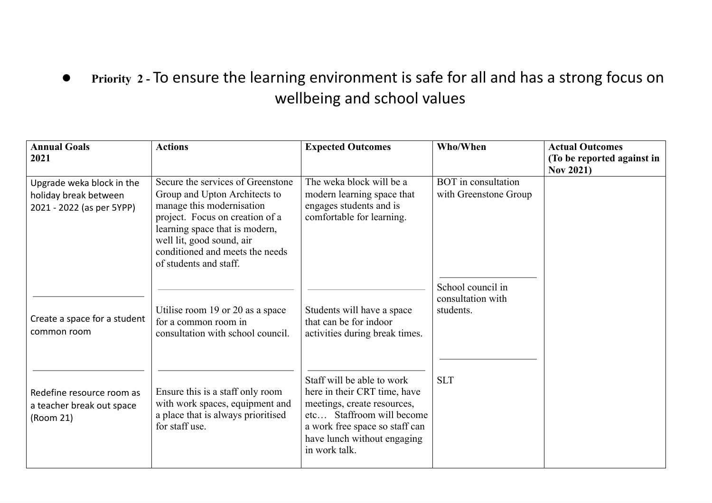## ●Priority 2 - To ensure the learning environment is safe for all and has a strong focus on wellbeing and school values

| <b>Annual Goals</b><br>2021                                                     | <b>Actions</b>                                                                                                                                                                                                                                                 | <b>Expected Outcomes</b>                                                                                                                                                                                 | Who/When                                            | <b>Actual Outcomes</b><br>(To be reported against in |
|---------------------------------------------------------------------------------|----------------------------------------------------------------------------------------------------------------------------------------------------------------------------------------------------------------------------------------------------------------|----------------------------------------------------------------------------------------------------------------------------------------------------------------------------------------------------------|-----------------------------------------------------|------------------------------------------------------|
| Upgrade weka block in the<br>holiday break between<br>2021 - 2022 (as per 5YPP) | Secure the services of Greenstone<br>Group and Upton Architects to<br>manage this modernisation<br>project. Focus on creation of a<br>learning space that is modern,<br>well lit, good sound, air<br>conditioned and meets the needs<br>of students and staff. | The weka block will be a<br>modern learning space that<br>engages students and is<br>comfortable for learning.                                                                                           | <b>BOT</b> in consultation<br>with Greenstone Group | <b>Nov 2021)</b>                                     |
| Create a space for a student<br>common room                                     | Utilise room 19 or 20 as a space<br>for a common room in<br>consultation with school council.                                                                                                                                                                  | Students will have a space<br>that can be for indoor<br>activities during break times.                                                                                                                   | School council in<br>consultation with<br>students. |                                                      |
| Redefine resource room as<br>a teacher break out space<br>(Room 21)             | Ensure this is a staff only room<br>with work spaces, equipment and<br>a place that is always prioritised<br>for staff use.                                                                                                                                    | Staff will be able to work<br>here in their CRT time, have<br>meetings, create resources,<br>etc Staffroom will become<br>a work free space so staff can<br>have lunch without engaging<br>in work talk. | <b>SLT</b>                                          |                                                      |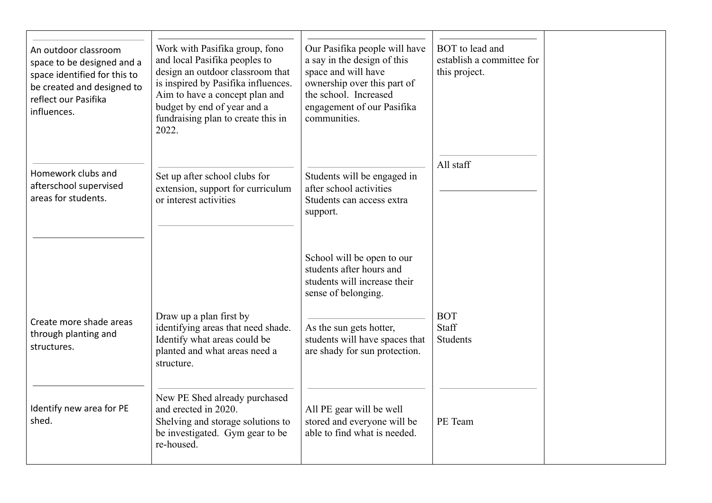| An outdoor classroom<br>space to be designed and a<br>space identified for this to<br>be created and designed to<br>reflect our Pasifika<br>influences. | Work with Pasifika group, fono<br>and local Pasifika peoples to<br>design an outdoor classroom that<br>is inspired by Pasifika influences.<br>Aim to have a concept plan and<br>budget by end of year and a<br>fundraising plan to create this in<br>2022. | Our Pasifika people will have<br>a say in the design of this<br>space and will have<br>ownership over this part of<br>the school. Increased<br>engagement of our Pasifika<br>communities. | BOT to lead and<br>establish a committee for<br>this project. |  |
|---------------------------------------------------------------------------------------------------------------------------------------------------------|------------------------------------------------------------------------------------------------------------------------------------------------------------------------------------------------------------------------------------------------------------|-------------------------------------------------------------------------------------------------------------------------------------------------------------------------------------------|---------------------------------------------------------------|--|
| Homework clubs and<br>afterschool supervised<br>areas for students.                                                                                     | Set up after school clubs for<br>extension, support for curriculum<br>or interest activities                                                                                                                                                               | Students will be engaged in<br>after school activities<br>Students can access extra<br>support.                                                                                           | All staff                                                     |  |
|                                                                                                                                                         |                                                                                                                                                                                                                                                            | School will be open to our<br>students after hours and<br>students will increase their<br>sense of belonging.                                                                             |                                                               |  |
| Create more shade areas<br>through planting and<br>structures.                                                                                          | Draw up a plan first by<br>identifying areas that need shade.<br>Identify what areas could be<br>planted and what areas need a<br>structure.                                                                                                               | As the sun gets hotter,<br>students will have spaces that<br>are shady for sun protection.                                                                                                | <b>BOT</b><br>Staff<br><b>Students</b>                        |  |
| Identify new area for PE<br>shed.                                                                                                                       | New PE Shed already purchased<br>and erected in 2020.<br>Shelving and storage solutions to<br>be investigated. Gym gear to be<br>re-housed.                                                                                                                | All PE gear will be well<br>stored and everyone will be<br>able to find what is needed.                                                                                                   | PE Team                                                       |  |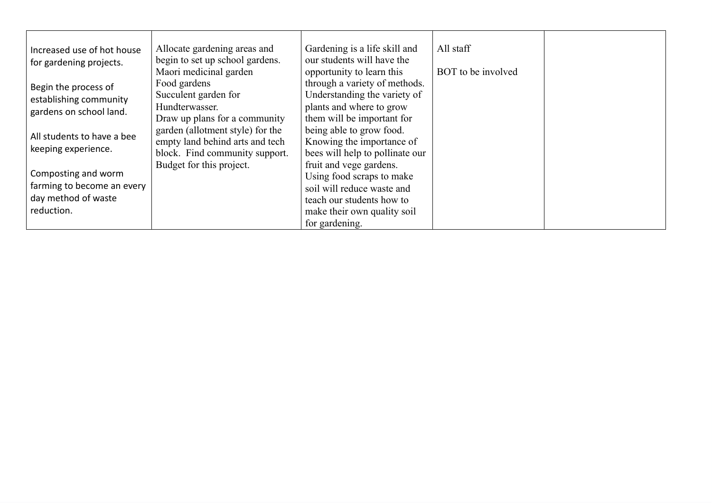| Increased use of hot house<br>for gardening projects.                                  | Allocate gardening areas and<br>begin to set up school gardens.<br>Maori medicinal garden             | Gardening is a life skill and<br>our students will have the<br>opportunity to learn this                                                                         | All staff<br>BOT to be involved |  |
|----------------------------------------------------------------------------------------|-------------------------------------------------------------------------------------------------------|------------------------------------------------------------------------------------------------------------------------------------------------------------------|---------------------------------|--|
| Begin the process of<br>establishing community<br>gardens on school land.              | Food gardens<br>Succulent garden for<br>Hundterwasser.<br>Draw up plans for a community               | through a variety of methods.<br>Understanding the variety of<br>plants and where to grow<br>them will be important for                                          |                                 |  |
| All students to have a bee<br>keeping experience.                                      | garden (allotment style) for the<br>empty land behind arts and tech<br>block. Find community support. | being able to grow food.<br>Knowing the importance of<br>bees will help to pollinate our                                                                         |                                 |  |
| Composting and worm<br>farming to become an every<br>day method of waste<br>reduction. | Budget for this project.                                                                              | fruit and vege gardens.<br>Using food scraps to make<br>soil will reduce waste and<br>teach our students how to<br>make their own quality soil<br>for gardening. |                                 |  |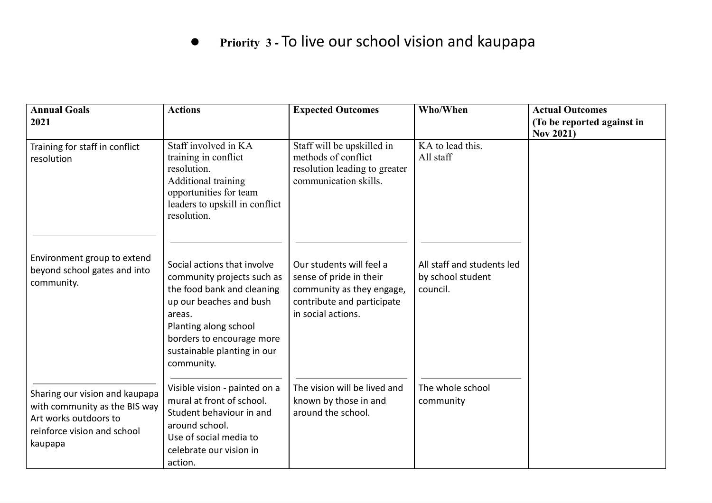#### ●**Priorit\ <sup>3</sup> -** To live our school vision and kaupapa

| <b>Annual Goals</b><br>2021                                                                                                        | <b>Actions</b>                                                                                                                                                                                                                  | <b>Expected Outcomes</b>                                                                                                             | Who/When                                                    | <b>Actual Outcomes</b><br>(To be reported against in<br><b>Nov 2021)</b> |
|------------------------------------------------------------------------------------------------------------------------------------|---------------------------------------------------------------------------------------------------------------------------------------------------------------------------------------------------------------------------------|--------------------------------------------------------------------------------------------------------------------------------------|-------------------------------------------------------------|--------------------------------------------------------------------------|
| Training for staff in conflict<br>resolution                                                                                       | Staff involved in KA<br>training in conflict<br>resolution.<br>Additional training<br>opportunities for team<br>leaders to upskill in conflict<br>resolution.                                                                   | Staff will be upskilled in<br>methods of conflict<br>resolution leading to greater<br>communication skills.                          | KA to lead this.<br>All staff                               |                                                                          |
| Environment group to extend<br>beyond school gates and into<br>community.                                                          | Social actions that involve<br>community projects such as<br>the food bank and cleaning<br>up our beaches and bush<br>areas.<br>Planting along school<br>borders to encourage more<br>sustainable planting in our<br>community. | Our students will feel a<br>sense of pride in their<br>community as they engage,<br>contribute and participate<br>in social actions. | All staff and students led<br>by school student<br>council. |                                                                          |
| Sharing our vision and kaupapa<br>with community as the BIS way<br>Art works outdoors to<br>reinforce vision and school<br>kaupapa | Visible vision - painted on a<br>mural at front of school.<br>Student behaviour in and<br>around school.<br>Use of social media to<br>celebrate our vision in<br>action.                                                        | The vision will be lived and<br>known by those in and<br>around the school.                                                          | The whole school<br>community                               |                                                                          |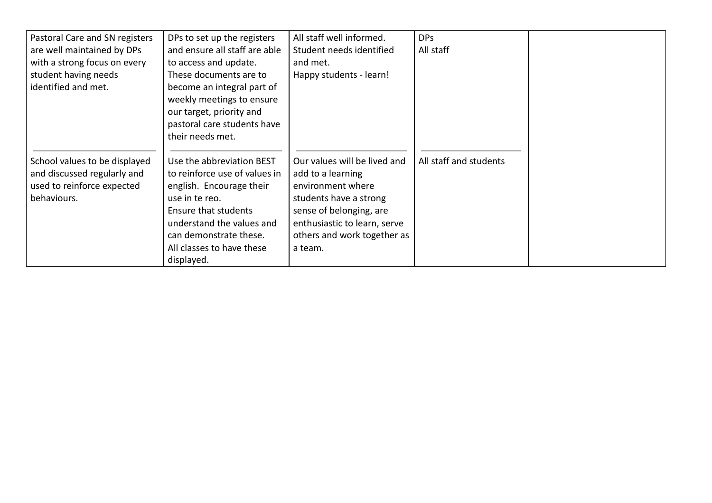| Pastoral Care and SN registers<br>are well maintained by DPs<br>with a strong focus on every<br>student having needs<br>identified and met. | DPs to set up the registers<br>and ensure all staff are able<br>to access and update.<br>These documents are to<br>become an integral part of<br>weekly meetings to ensure<br>our target, priority and<br>pastoral care students have                  | All staff well informed.<br>Student needs identified<br>and met.<br>Happy students - learn!                                                                                                           | <b>DPs</b><br>All staff |  |
|---------------------------------------------------------------------------------------------------------------------------------------------|--------------------------------------------------------------------------------------------------------------------------------------------------------------------------------------------------------------------------------------------------------|-------------------------------------------------------------------------------------------------------------------------------------------------------------------------------------------------------|-------------------------|--|
| School values to be displayed<br>and discussed regularly and<br>used to reinforce expected<br>behaviours.                                   | their needs met.<br>Use the abbreviation BEST<br>to reinforce use of values in<br>english. Encourage their<br>use in te reo.<br>Ensure that students<br>understand the values and<br>can demonstrate these.<br>All classes to have these<br>displayed. | Our values will be lived and<br>add to a learning<br>environment where<br>students have a strong<br>sense of belonging, are<br>enthusiastic to learn, serve<br>others and work together as<br>a team. | All staff and students  |  |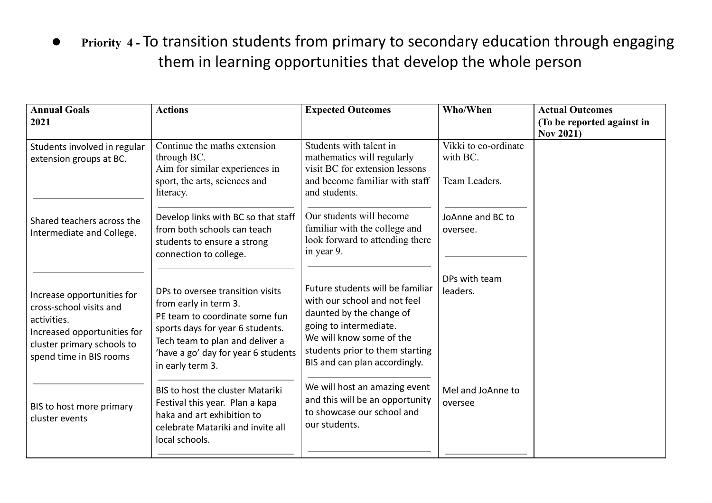●Priority 4 - To transition students from primary to secondary education through engaging them in learning opportunities that develop the whole person

| <b>Annual Goals</b><br>2021                                                                                                                                  | <b>Actions</b>                                                                                                                                                                                                                | <b>Expected Outcomes</b>                                                                                                                                                                                               | Who/When                                          | <b>Actual Outcomes</b><br>(To be reported against in<br><b>Nov 2021)</b> |
|--------------------------------------------------------------------------------------------------------------------------------------------------------------|-------------------------------------------------------------------------------------------------------------------------------------------------------------------------------------------------------------------------------|------------------------------------------------------------------------------------------------------------------------------------------------------------------------------------------------------------------------|---------------------------------------------------|--------------------------------------------------------------------------|
| Students involved in regular<br>extension groups at BC.                                                                                                      | Continue the maths extension<br>through BC.<br>Aim for similar experiences in<br>sport, the arts, sciences and<br>literacy.                                                                                                   | Students with talent in<br>mathematics will regularly<br>visit BC for extension lessons<br>and become familiar with staff<br>and students.                                                                             | Vikki to co-ordinate<br>with BC.<br>Team Leaders. |                                                                          |
| Shared teachers across the<br>Intermediate and College.                                                                                                      | Develop links with BC so that staff<br>from both schools can teach<br>students to ensure a strong<br>connection to college.                                                                                                   | Our students will become<br>familiar with the college and<br>look forward to attending there<br>in year 9.                                                                                                             | JoAnne and BC to<br>oversee.                      |                                                                          |
| Increase opportunities for<br>cross-school visits and<br>activities.<br>Increased opportunities for<br>cluster primary schools to<br>spend time in BIS rooms | DPs to oversee transition visits<br>from early in term 3.<br>PE team to coordinate some fun<br>sports days for year 6 students.<br>Tech team to plan and deliver a<br>'have a go' day for year 6 students<br>in early term 3. | Future students will be familiar<br>with our school and not feel<br>daunted by the change of<br>going to intermediate.<br>We will know some of the<br>students prior to them starting<br>BIS and can plan accordingly. | DPs with team<br>leaders.                         |                                                                          |
| BIS to host more primary<br>cluster events                                                                                                                   | <b>BIS to host the cluster Matariki</b><br>Festival this year. Plan a kapa<br>haka and art exhibition to<br>celebrate Matariki and invite all<br>local schools.                                                               | We will host an amazing event<br>and this will be an opportunity<br>to showcase our school and<br>our students.                                                                                                        | Mel and JoAnne to<br>oversee                      |                                                                          |